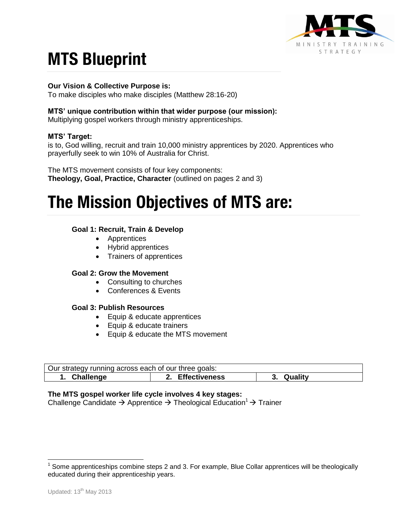

# **MTS Blueprint**

## **Our Vision & Collective Purpose is:**

To make disciples who make disciples (Matthew 28:16-20)

## **MTS' unique contribution within that wider purpose (our mission):**

Multiplying gospel workers through ministry apprenticeships.

# **MTS' Target:**

is to, God willing, recruit and train 10,000 ministry apprentices by 2020. Apprentices who prayerfully seek to win 10% of Australia for Christ.

The MTS movement consists of four key components: **Theology, Goal, Practice, Character** (outlined on pages 2 and 3)

# **The Mission Objectives of MTS are:**

# **Goal 1: Recruit, Train & Develop**

- Apprentices
- Hybrid apprentices
- Trainers of apprentices

#### **Goal 2: Grow the Movement**

- Consulting to churches
- Conferences & Events

#### **Goal 3: Publish Resources**

- Equip & educate apprentices
- Equip & educate trainers
- Equip & educate the MTS movement

| Our strategy running across each of our three goals: |                      |                |
|------------------------------------------------------|----------------------|----------------|
| Challenge                                            | <b>Effectiveness</b> | Quality<br>.ა. |

#### **The MTS gospel worker life cycle involves 4 key stages:**

Challenge Candidate  $\rightarrow$  Apprentice  $\rightarrow$  Theological Education<sup>1</sup>  $\rightarrow$  Trainer

<sup>————————————————————&</sup>lt;br><sup>1</sup> Some apprenticeships combine steps 2 and 3. For example, Blue Collar apprentices will be theologically educated during their apprenticeship years.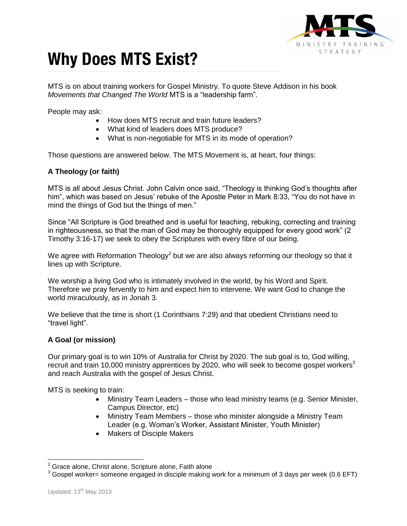

# **Why Does MTS Exist?**

MTS is on about training workers for Gospel Ministry. To quote Steve Addison in his book *Movements that Changed The World* MTS is a "leadership farm".

People may ask:

- How does MTS recruit and train future leaders?
- What kind of leaders does MTS produce?
- What is non-negotiable for MTS in its mode of operation?

Those questions are answered below. The MTS Movement is, at heart, four things:

# **A Theology (or faith)**

MTS is all about Jesus Christ. John Calvin once said, "Theology is thinking God's thoughts after him", which was based on Jesus' rebuke of the Apostle Peter in Mark 8:33, "You do not have in mind the things of God but the things of men."

Since "All Scripture is God breathed and is useful for teaching, rebuking, correcting and training in righteousness, so that the man of God may be thoroughly equipped for every good work" (2 Timothy 3:16-17) we seek to obey the Scriptures with every fibre of our being.

We agree with Reformation Theology<sup>2</sup> but we are also always reforming our theology so that it lines up with Scripture.

We worship a living God who is intimately involved in the world, by his Word and Spirit. Therefore we pray fervently to him and expect him to intervene. We want God to change the world miraculously, as in Jonah 3.

We believe that the time is short (1 Corinthians 7:29) and that obedient Christians need to "travel light".

# **A Goal (or mission)**

Our primary goal is to win 10% or Australia for Christ by 2020. The sub goal is to, God willing, frecruit and train 10,000 ministry apprentices by 2020, who will seek to become gospel workers<sup>3</sup> and reach Australia with the gospel of Jesus Christ.

MTS is seeking to train:

- Ministry Team Leaders those who lead ministry teams (e.g. Senior Minister, Campus Director, etc)
- Ministry Team Members those who minister alongside a Ministry Team Leader (e.g. Woman's Worker, Assistant Minister, Youth Minister)
- Makers of Disciple Makers

 $\overline{\phantom{a}}$ 

 $2$  Grace alone, Christ alone, Scripture alone, Faith alone

 $3$  Gospel worker= someone engaged in disciple making work for a minimum of 3 days per week (0.6 EFT)